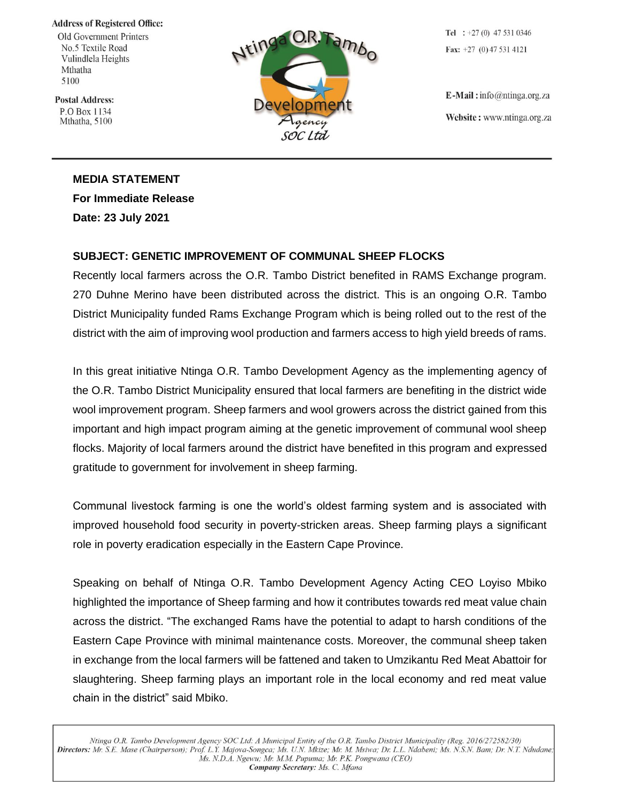## **Address of Registered Office:**

Old Government Printers No.5 Textile Road Vulindlela Heights Mthatha 5100

**Postal Address:** P.O Box 1134 Mthatha, 5100



Tel :  $+27(0)$  47 531 0346 Fax:  $+27$  (0) 47 531 4121

 $E$ -Mail: info@ntinga.org.za Website: www.ntinga.org.za

## **MEDIA STATEMENT For Immediate Release**

**Date: 23 July 2021**

## **SUBJECT: GENETIC IMPROVEMENT OF COMMUNAL SHEEP FLOCKS**

Recently local farmers across the O.R. Tambo District benefited in RAMS Exchange program. 270 Duhne Merino have been distributed across the district. This is an ongoing O.R. Tambo District Municipality funded Rams Exchange Program which is being rolled out to the rest of the district with the aim of improving wool production and farmers access to high yield breeds of rams.

In this great initiative Ntinga O.R. Tambo Development Agency as the implementing agency of the O.R. Tambo District Municipality ensured that local farmers are benefiting in the district wide wool improvement program. Sheep farmers and wool growers across the district gained from this important and high impact program aiming at the genetic improvement of communal wool sheep flocks. Majority of local farmers around the district have benefited in this program and expressed gratitude to government for involvement in sheep farming.

Communal livestock farming is one the world's oldest farming system and is associated with improved household food security in poverty-stricken areas. Sheep farming plays a significant role in poverty eradication especially in the Eastern Cape Province.

Speaking on behalf of Ntinga O.R. Tambo Development Agency Acting CEO Loyiso Mbiko highlighted the importance of Sheep farming and how it contributes towards red meat value chain across the district. "The exchanged Rams have the potential to adapt to harsh conditions of the Eastern Cape Province with minimal maintenance costs. Moreover, the communal sheep taken in exchange from the local farmers will be fattened and taken to Umzikantu Red Meat Abattoir for slaughtering. Sheep farming plays an important role in the local economy and red meat value chain in the district" said Mbiko.

Ntinga O.R. Tambo Development Agency SOC Ltd: A Municipal Entity of the O.R. Tambo District Municipality (Reg. 2016/272582/30) Directors: Mr. S.E. Mase (Chairperson); Prof. L.Y. Majova-Songca; Ms. U.N. Mkize; Mr. M. Msiwa; Dr. L.L. Ndabeni; Ms. N.S.N. Bam; Dr. N.T. Ndudane; Ms. N.D.A. Ngewu; Mr. M.M. Pupuma; Mr. P.K. Pongwana (CEO) Company Secretary: Ms. C. Mfana